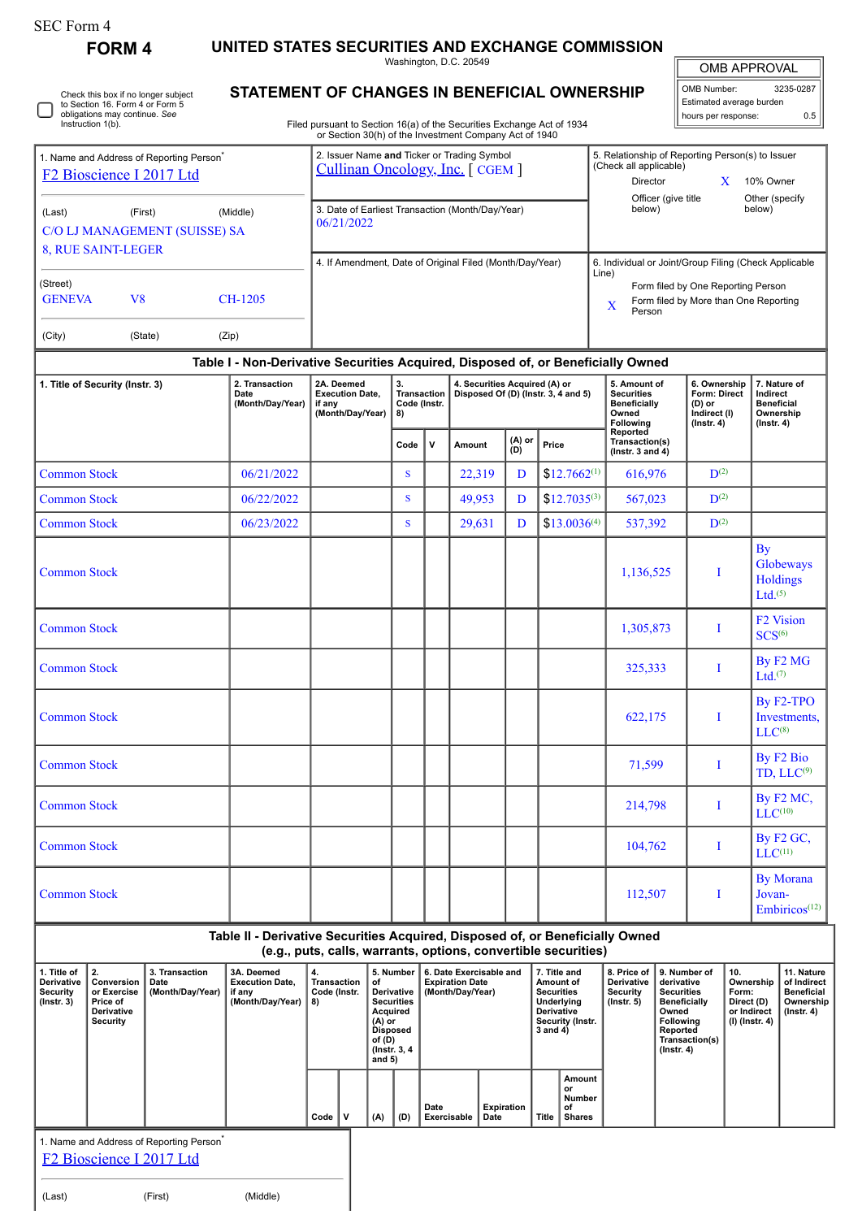|  | SEC Form 4 |
|--|------------|
|--|------------|

**FORM 4 UNITED STATES SECURITIES AND EXCHANGE COMMISSION**

Washington, D.C. 20549

|                                                                                                                                                                                                                                    |                                                                                                                              |                                            |                                                                                  |                                                                               |                                                |                                                                                              |                                                                      | Washington, D.C. 20549                                                |                   |                                                                                                                                               |                                                                                |                                                                                                          |                                                                                                                                                |                                                                    | <b>OMB APPROVAL</b>                                                        |                                                                                 |
|------------------------------------------------------------------------------------------------------------------------------------------------------------------------------------------------------------------------------------|------------------------------------------------------------------------------------------------------------------------------|--------------------------------------------|----------------------------------------------------------------------------------|-------------------------------------------------------------------------------|------------------------------------------------|----------------------------------------------------------------------------------------------|----------------------------------------------------------------------|-----------------------------------------------------------------------|-------------------|-----------------------------------------------------------------------------------------------------------------------------------------------|--------------------------------------------------------------------------------|----------------------------------------------------------------------------------------------------------|------------------------------------------------------------------------------------------------------------------------------------------------|--------------------------------------------------------------------|----------------------------------------------------------------------------|---------------------------------------------------------------------------------|
|                                                                                                                                                                                                                                    | Check this box if no longer subject<br>to Section 16. Form 4 or Form 5<br>obligations may continue. See<br>Instruction 1(b). |                                            | STATEMENT OF CHANGES IN BENEFICIAL OWNERSHIP                                     | Filed pursuant to Section 16(a) of the Securities Exchange Act of 1934        |                                                |                                                                                              |                                                                      |                                                                       |                   |                                                                                                                                               |                                                                                |                                                                                                          |                                                                                                                                                | OMB Number:<br>hours per response:                                 | Estimated average burden                                                   | 3235-0287<br>0.5                                                                |
|                                                                                                                                                                                                                                    |                                                                                                                              |                                            |                                                                                  | or Section 30(h) of the Investment Company Act of 1940                        |                                                |                                                                                              |                                                                      |                                                                       |                   |                                                                                                                                               |                                                                                |                                                                                                          |                                                                                                                                                |                                                                    |                                                                            |                                                                                 |
| 1. Name and Address of Reporting Person <sup>*</sup><br>F <sub>2</sub> Bioscience I 2017 Ltd<br>(Last)<br>(First)<br>(Middle)<br>C/O LJ MANAGEMENT (SUISSE) SA<br>8, RUE SAINT-LEGER<br>(Street)<br>V8<br><b>GENEVA</b><br>CH-1205 |                                                                                                                              |                                            |                                                                                  | 2. Issuer Name and Ticker or Trading Symbol<br>Cullinan Oncology, Inc. [CGEM] |                                                |                                                                                              |                                                                      |                                                                       |                   |                                                                                                                                               |                                                                                | 5. Relationship of Reporting Person(s) to Issuer<br>(Check all applicable)<br>Director<br>X<br>10% Owner |                                                                                                                                                |                                                                    |                                                                            |                                                                                 |
|                                                                                                                                                                                                                                    |                                                                                                                              |                                            |                                                                                  | 3. Date of Earliest Transaction (Month/Day/Year)<br>06/21/2022                |                                                |                                                                                              |                                                                      |                                                                       |                   |                                                                                                                                               |                                                                                | Officer (give title<br>Other (specify<br>below)<br>below)                                                |                                                                                                                                                |                                                                    |                                                                            |                                                                                 |
|                                                                                                                                                                                                                                    |                                                                                                                              |                                            |                                                                                  | 4. If Amendment, Date of Original Filed (Month/Day/Year)                      |                                                |                                                                                              |                                                                      |                                                                       |                   | 6. Individual or Joint/Group Filing (Check Applicable<br>Line)<br>Form filed by One Reporting Person<br>Form filed by More than One Reporting |                                                                                |                                                                                                          |                                                                                                                                                |                                                                    |                                                                            |                                                                                 |
| (City)                                                                                                                                                                                                                             |                                                                                                                              | (State)                                    | (Zip)                                                                            | X                                                                             |                                                |                                                                                              |                                                                      |                                                                       |                   |                                                                                                                                               | Person                                                                         |                                                                                                          |                                                                                                                                                |                                                                    |                                                                            |                                                                                 |
|                                                                                                                                                                                                                                    |                                                                                                                              |                                            | Table I - Non-Derivative Securities Acquired, Disposed of, or Beneficially Owned |                                                                               |                                                |                                                                                              |                                                                      |                                                                       |                   |                                                                                                                                               |                                                                                |                                                                                                          |                                                                                                                                                |                                                                    |                                                                            |                                                                                 |
| 1. Title of Security (Instr. 3)                                                                                                                                                                                                    |                                                                                                                              | 2. Transaction<br>Date<br>(Month/Day/Year) | 2A. Deemed<br><b>Execution Date,</b><br>if any<br>(Month/Day/Year)               |                                                                               | 3.<br><b>Transaction</b><br>Code (Instr.<br>8) |                                                                                              | 4. Securities Acquired (A) or<br>Disposed Of (D) (Instr. 3, 4 and 5) |                                                                       |                   |                                                                                                                                               | 5. Amount of<br><b>Securities</b><br><b>Beneficially</b><br>Owned<br>Following | 6. Ownership<br><b>Form: Direct</b><br>$(D)$ or<br>Indirect (I)<br>$($ lnstr. 4 $)$                      | Indirect                                                                                                                                       | 7. Nature of<br><b>Beneficial</b><br>Ownership<br>$($ lnstr. 4 $)$ |                                                                            |                                                                                 |
|                                                                                                                                                                                                                                    |                                                                                                                              |                                            |                                                                                  |                                                                               |                                                | Code                                                                                         | v                                                                    | Amount                                                                | (A) or<br>(D)     | Price                                                                                                                                         |                                                                                | Reported<br>Transaction(s)<br>( $lnstr. 3 and 4$ )                                                       |                                                                                                                                                |                                                                    |                                                                            |                                                                                 |
| <b>Common Stock</b>                                                                                                                                                                                                                |                                                                                                                              |                                            | 06/21/2022                                                                       |                                                                               |                                                | <sub>S</sub>                                                                                 |                                                                      | 22,319                                                                | D                 | $$12.7662^{(1)}$                                                                                                                              |                                                                                | 616,976                                                                                                  |                                                                                                                                                | $\mathbf{D}^{(2)}$                                                 |                                                                            |                                                                                 |
| <b>Common Stock</b>                                                                                                                                                                                                                |                                                                                                                              |                                            | 06/22/2022                                                                       |                                                                               |                                                | S                                                                                            |                                                                      | 49,953                                                                | D                 | $$12.7035^{(3)}$                                                                                                                              |                                                                                | 567,023                                                                                                  |                                                                                                                                                | $\mathbf{D}^{(2)}$                                                 |                                                                            |                                                                                 |
| <b>Common Stock</b>                                                                                                                                                                                                                |                                                                                                                              |                                            | 06/23/2022                                                                       |                                                                               |                                                | <sub>S</sub>                                                                                 |                                                                      | 29,631                                                                | D                 | $$13.0036^{(4)}$                                                                                                                              |                                                                                | 537,392                                                                                                  |                                                                                                                                                | $\mathbf{D}^{(2)}$                                                 |                                                                            |                                                                                 |
| <b>Common Stock</b>                                                                                                                                                                                                                |                                                                                                                              |                                            |                                                                                  |                                                                               |                                                |                                                                                              |                                                                      |                                                                       |                   |                                                                                                                                               |                                                                                | 1,136,525                                                                                                |                                                                                                                                                | Ι                                                                  | By<br>$Ltd.$ <sup>(5)</sup>                                                | Globeways<br><b>Holdings</b>                                                    |
| <b>Common Stock</b>                                                                                                                                                                                                                |                                                                                                                              |                                            |                                                                                  |                                                                               |                                                |                                                                                              |                                                                      |                                                                       |                   |                                                                                                                                               |                                                                                | 1,305,873                                                                                                |                                                                                                                                                | I                                                                  | SCS <sup>(6)</sup>                                                         | <b>F2 Vision</b>                                                                |
| <b>Common Stock</b>                                                                                                                                                                                                                |                                                                                                                              |                                            |                                                                                  |                                                                               |                                                |                                                                                              |                                                                      |                                                                       |                   |                                                                                                                                               |                                                                                | 325,333                                                                                                  |                                                                                                                                                | I                                                                  | $Ltd.$ <sup>(7)</sup>                                                      | By F <sub>2</sub> M <sub>G</sub>                                                |
| <b>Common Stock</b>                                                                                                                                                                                                                |                                                                                                                              |                                            |                                                                                  |                                                                               |                                                |                                                                                              |                                                                      |                                                                       |                   |                                                                                                                                               | 622,175                                                                        |                                                                                                          | I                                                                                                                                              | $LLC^{(8)}$                                                        | By F <sub>2</sub> -TPO<br>Investments,                                     |                                                                                 |
| <b>Common Stock</b>                                                                                                                                                                                                                |                                                                                                                              |                                            |                                                                                  |                                                                               |                                                |                                                                                              |                                                                      |                                                                       |                   |                                                                                                                                               | 71,599                                                                         |                                                                                                          | Ι                                                                                                                                              |                                                                    | By F <sub>2</sub> Bio<br>TD, LLC <sup>(9)</sup>                            |                                                                                 |
| <b>Common Stock</b>                                                                                                                                                                                                                |                                                                                                                              |                                            |                                                                                  |                                                                               |                                                |                                                                                              |                                                                      |                                                                       |                   |                                                                                                                                               | 214,798                                                                        |                                                                                                          | I                                                                                                                                              |                                                                    | By F2 MC,<br>LLC <sup>(10)</sup>                                           |                                                                                 |
| <b>Common Stock</b>                                                                                                                                                                                                                |                                                                                                                              |                                            |                                                                                  |                                                                               |                                                |                                                                                              |                                                                      |                                                                       |                   |                                                                                                                                               | 104,762                                                                        |                                                                                                          | I                                                                                                                                              |                                                                    | By $F2$ GC,<br>$LLC$ <sup>(11)</sup>                                       |                                                                                 |
| <b>Common Stock</b>                                                                                                                                                                                                                |                                                                                                                              |                                            |                                                                                  |                                                                               |                                                |                                                                                              |                                                                      |                                                                       |                   |                                                                                                                                               | 112,507                                                                        |                                                                                                          | Ι<br>Jovan-                                                                                                                                    |                                                                    | <b>By Morana</b><br>Embiricos <sup>(12)</sup>                              |                                                                                 |
|                                                                                                                                                                                                                                    |                                                                                                                              |                                            | Table II - Derivative Securities Acquired, Disposed of, or Beneficially Owned    | (e.g., puts, calls, warrants, options, convertible securities)                |                                                |                                                                                              |                                                                      |                                                                       |                   |                                                                                                                                               |                                                                                |                                                                                                          |                                                                                                                                                |                                                                    |                                                                            |                                                                                 |
| 1. Title of<br>Derivative<br>Security<br>(Instr. 3)                                                                                                                                                                                | 2.<br>3. Transaction<br>Conversion<br>Date<br>(Month/Day/Year)<br>or Exercise<br>Price of<br>Derivative<br><b>Security</b>   |                                            | 3A. Deemed<br><b>Execution Date,</b><br>if any<br>(Month/Day/Year)               | 4.<br><b>Transaction</b><br>of<br>Code (Instr.<br>8)<br>$(A)$ or<br>of $(D)$  |                                                | 5. Number<br>Derivative<br><b>Securities</b><br>Acquired<br><b>Disposed</b><br>(Instr. 3, 4) |                                                                      | 6. Date Exercisable and<br><b>Expiration Date</b><br>(Month/Day/Year) |                   | 7. Title and<br>Amount of<br><b>Securities</b><br>Underlying<br><b>Derivative</b><br>Security (Instr.<br>3 and 4)                             |                                                                                | 8. Price of<br>Derivative<br><b>Security</b><br>$($ Instr. 5 $)$                                         | 9. Number of<br>derivative<br><b>Securities</b><br><b>Beneficially</b><br>Owned<br>Following<br>Reported<br>Transaction(s)<br>$($ Instr. 4 $)$ |                                                                    | 10.<br>Ownership<br>Form:<br>Direct (D)<br>or Indirect<br>$(I)$ (Instr. 4) | 11. Nature<br>of Indirect<br><b>Beneficial</b><br>Ownership<br>$($ lnstr. 4 $)$ |
|                                                                                                                                                                                                                                    |                                                                                                                              |                                            |                                                                                  | Code<br>v                                                                     | and $5)$<br>(A)                                | (D)                                                                                          | Date                                                                 | Exercisable<br>Date                                                   | <b>Expiration</b> | Amount<br>or<br>Number<br>of<br>Title<br><b>Shares</b>                                                                                        |                                                                                |                                                                                                          |                                                                                                                                                |                                                                    |                                                                            |                                                                                 |

1. Name and Address of Reporting Person<sup>\*</sup>

[F2 Bioscience I 2017 Ltd](http://www.sec.gov/cgi-bin/browse-edgar?action=getcompany&CIK=0001838573)